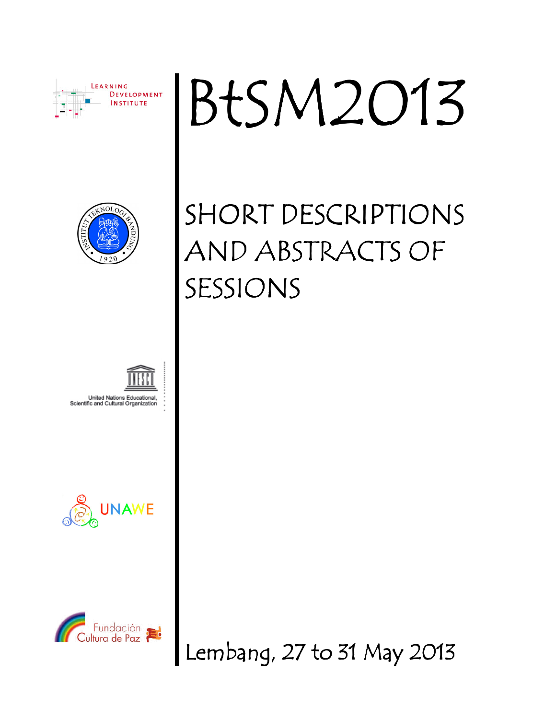

# BtSM2013



## SHORT DESCRIPTIONS AND ABSTRACTS OF SESSIONS









Lembang, 27 to 31 May 2013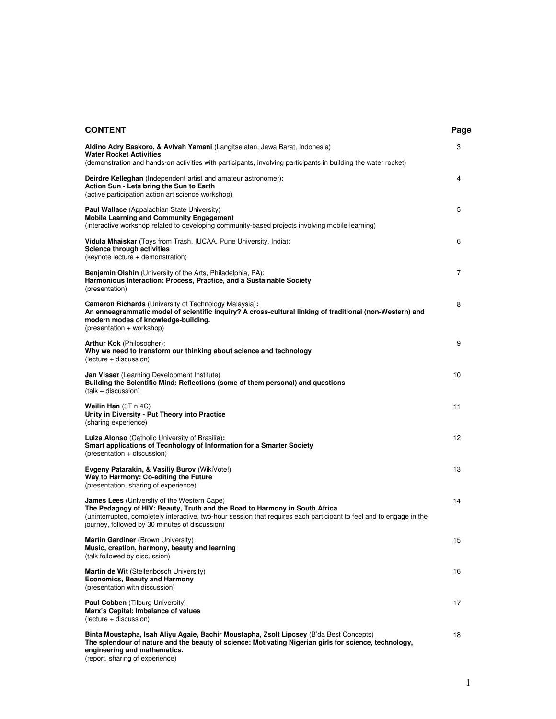| <b>CONTENT</b>                                                                                                                                                                                                                                                                                             | Page |
|------------------------------------------------------------------------------------------------------------------------------------------------------------------------------------------------------------------------------------------------------------------------------------------------------------|------|
| Aldino Adry Baskoro, & Avivah Yamani (Langitselatan, Jawa Barat, Indonesia)<br><b>Water Rocket Activities</b><br>(demonstration and hands-on activities with participants, involving participants in building the water rocket)                                                                            | 3    |
| <b>Deirdre Kelleghan</b> (Independent artist and amateur astronomer):<br>Action Sun - Lets bring the Sun to Earth<br>(active participation action art science workshop)                                                                                                                                    | 4    |
| <b>Paul Wallace</b> (Appalachian State University)<br><b>Mobile Learning and Community Engagement</b><br>(interactive workshop related to developing community-based projects involving mobile learning)                                                                                                   | 5    |
| <b>Vidula Mhaiskar</b> (Toys from Trash, IUCAA, Pune University, India):<br><b>Science through activities</b><br>(keynote lecture + demonstration)                                                                                                                                                         | 6    |
| <b>Benjamin Olshin</b> (University of the Arts, Philadelphia, PA):<br>Harmonious Interaction: Process, Practice, and a Sustainable Society<br>(presentation)                                                                                                                                               | 7    |
| Cameron Richards (University of Technology Malaysia):<br>An enneagrammatic model of scientific inquiry? A cross-cultural linking of traditional (non-Western) and<br>modern modes of knowledge-building.<br>(presentation + workshop)                                                                      | 8    |
| <b>Arthur Kok</b> (Philosopher):<br>Why we need to transform our thinking about science and technology<br>(lecture + discussion)                                                                                                                                                                           | 9    |
| <b>Jan Visser</b> (Learning Development Institute)<br>Building the Scientific Mind: Reflections (some of them personal) and questions<br>$(talk + discussion)$                                                                                                                                             | 10   |
| Weilin Han (3T n 4C)<br>Unity in Diversity - Put Theory into Practice<br>(sharing experience)                                                                                                                                                                                                              | 11   |
| <b>Luiza Alonso</b> (Catholic University of Brasilia):<br>Smart applications of Tecnhology of Information for a Smarter Society<br>(presentation + discussion)                                                                                                                                             | 12   |
| Evgeny Patarakin, & Vasiliy Burov (WikiVote!)<br>Way to Harmony: Co-editing the Future<br>(presentation, sharing of experience)                                                                                                                                                                            | 13   |
| <b>James Lees</b> (University of the Western Cape)<br>The Pedagogy of HIV: Beauty, Truth and the Road to Harmony in South Africa<br>(uninterrupted, completely interactive, two-hour session that requires each participant to feel and to engage in the<br>journey, followed by 30 minutes of discussion) | 14   |
| Martin Gardiner (Brown University)<br>Music, creation, harmony, beauty and learning<br>(talk followed by discussion)                                                                                                                                                                                       | 15   |
| Martin de Wit (Stellenbosch University)<br><b>Economics, Beauty and Harmony</b><br>(presentation with discussion)                                                                                                                                                                                          | 16   |
| Paul Cobben (Tilburg University)<br>Marx's Capital: Imbalance of values<br>(lecture + discussion)                                                                                                                                                                                                          | 17   |
| Binta Moustapha, Isah Aliyu Agaie, Bachir Moustapha, Zsolt Lipcsey (B'da Best Concepts)<br>The splendour of nature and the beauty of science: Motivating Nigerian girls for science, technology,<br>engineering and mathematics.<br>(report, sharing of experience)                                        | 18   |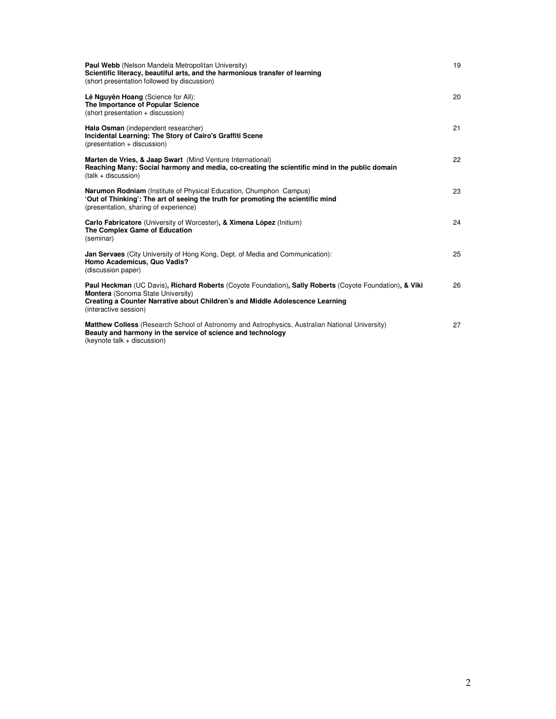| <b>Paul Webb</b> (Nelson Mandela Metropolitan University)<br>Scientific literacy, beautiful arts, and the harmonious transfer of learning<br>(short presentation followed by discussion)                                                                      | 19 |
|---------------------------------------------------------------------------------------------------------------------------------------------------------------------------------------------------------------------------------------------------------------|----|
| Lê Nguyên Hoang (Science for All):<br>The Importance of Popular Science<br>(short presentation + discussion)                                                                                                                                                  | 20 |
| Hala Osman (independent researcher)<br>Incidental Learning: The Story of Cairo's Graffiti Scene<br>(presentation + discussion)                                                                                                                                | 21 |
| Marten de Vries, & Jaap Swart (Mind Venture International)<br>Reaching Many: Social harmony and media, co-creating the scientific mind in the public domain<br>$(talk + discussion)$                                                                          | 22 |
| <b>Narumon Rodniam</b> (Institute of Physical Education, Chumphon Campus)<br>'Out of Thinking': The art of seeing the truth for promoting the scientific mind<br>(presentation, sharing of experience)                                                        | 23 |
| Carlo Fabricatore (University of Worcester), & Ximena López (Initium)<br>The Complex Game of Education<br>(seminar)                                                                                                                                           | 24 |
| <b>Jan Servaes</b> (City University of Hong Kong, Dept. of Media and Communication):<br>Homo Academicus, Quo Vadis?<br>(discussion paper)                                                                                                                     | 25 |
| Paul Heckman (UC Davis), Richard Roberts (Coyote Foundation), Sally Roberts (Coyote Foundation), & Viki<br><b>Montera</b> (Sonoma State University)<br>Creating a Counter Narrative about Children's and Middle Adolescence Learning<br>(interactive session) | 26 |
| <b>Matthew Colless</b> (Research School of Astronomy and Astrophysics, Australian National University)<br>Beauty and harmony in the service of science and technology<br>(keynote talk + discussion)                                                          | 27 |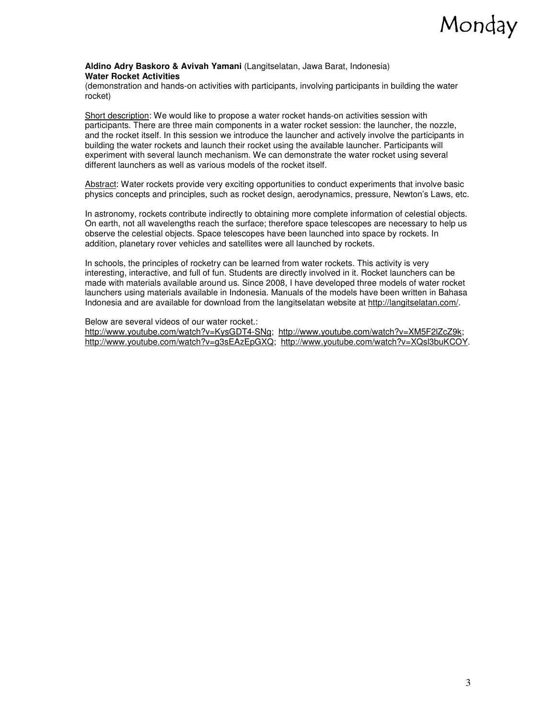

#### **Aldino Adry Baskoro & Avivah Yamani** (Langitselatan, Jawa Barat, Indonesia) **Water Rocket Activities**

(demonstration and hands-on activities with participants, involving participants in building the water rocket)

Short description: We would like to propose a water rocket hands-on activities session with participants. There are three main components in a water rocket session: the launcher, the nozzle, and the rocket itself. In this session we introduce the launcher and actively involve the participants in building the water rockets and launch their rocket using the available launcher. Participants will experiment with several launch mechanism. We can demonstrate the water rocket using several different launchers as well as various models of the rocket itself.

Abstract: Water rockets provide very exciting opportunities to conduct experiments that involve basic physics concepts and principles, such as rocket design, aerodynamics, pressure, Newton's Laws, etc.

In astronomy, rockets contribute indirectly to obtaining more complete information of celestial objects. On earth, not all wavelengths reach the surface; therefore space telescopes are necessary to help us observe the celestial objects. Space telescopes have been launched into space by rockets. In addition, planetary rover vehicles and satellites were all launched by rockets.

In schools, the principles of rocketry can be learned from water rockets. This activity is very interesting, interactive, and full of fun. Students are directly involved in it. Rocket launchers can be made with materials available around us. Since 2008, I have developed three models of water rocket launchers using materials available in Indonesia. Manuals of the models have been written in Bahasa Indonesia and are available for download from the langitselatan website at http://langitselatan.com/.

Below are several videos of our water rocket.: http://www.youtube.com/watch?v=KysGDT4-SNg; http://www.youtube.com/watch?v=XM5F2lZcZ9k; http://www.youtube.com/watch?v=g3sEAzEpGXQ; http://www.youtube.com/watch?v=XQsl3buKCOY.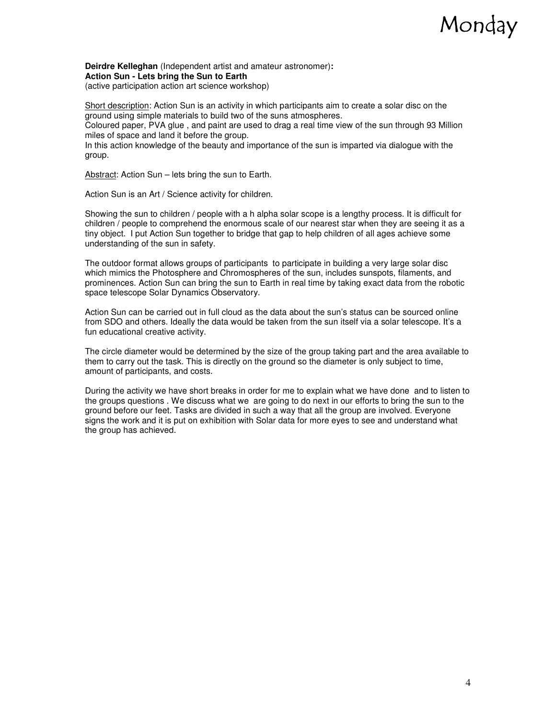#### Monday

**Deirdre Kelleghan** (Independent artist and amateur astronomer)**: Action Sun - Lets bring the Sun to Earth** 

(active participation action art science workshop)

Short description: Action Sun is an activity in which participants aim to create a solar disc on the ground using simple materials to build two of the suns atmospheres. Coloured paper, PVA glue , and paint are used to drag a real time view of the sun through 93 Million miles of space and land it before the group.

In this action knowledge of the beauty and importance of the sun is imparted via dialogue with the group.

Abstract: Action Sun – lets bring the sun to Earth.

Action Sun is an Art / Science activity for children.

Showing the sun to children / people with a h alpha solar scope is a lengthy process. It is difficult for children / people to comprehend the enormous scale of our nearest star when they are seeing it as a tiny object. I put Action Sun together to bridge that gap to help children of all ages achieve some understanding of the sun in safety.

The outdoor format allows groups of participants to participate in building a very large solar disc which mimics the Photosphere and Chromospheres of the sun, includes sunspots, filaments, and prominences. Action Sun can bring the sun to Earth in real time by taking exact data from the robotic space telescope Solar Dynamics Observatory.

Action Sun can be carried out in full cloud as the data about the sun's status can be sourced online from SDO and others. Ideally the data would be taken from the sun itself via a solar telescope. It's a fun educational creative activity.

The circle diameter would be determined by the size of the group taking part and the area available to them to carry out the task. This is directly on the ground so the diameter is only subject to time, amount of participants, and costs.

During the activity we have short breaks in order for me to explain what we have done and to listen to the groups questions . We discuss what we are going to do next in our efforts to bring the sun to the ground before our feet. Tasks are divided in such a way that all the group are involved. Everyone signs the work and it is put on exhibition with Solar data for more eyes to see and understand what the group has achieved.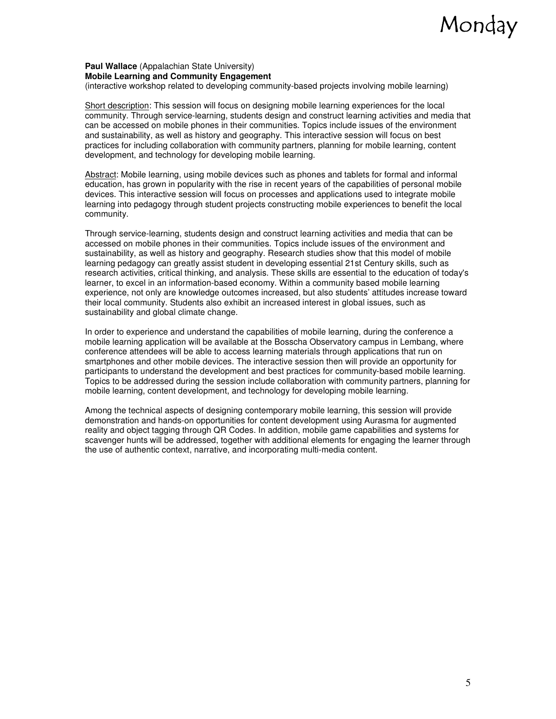#### Monday

#### **Paul Wallace** (Appalachian State University) **Mobile Learning and Community Engagement**

(interactive workshop related to developing community-based projects involving mobile learning)

Short description: This session will focus on designing mobile learning experiences for the local community. Through service-learning, students design and construct learning activities and media that can be accessed on mobile phones in their communities. Topics include issues of the environment and sustainability, as well as history and geography. This interactive session will focus on best practices for including collaboration with community partners, planning for mobile learning, content development, and technology for developing mobile learning.

Abstract: Mobile learning, using mobile devices such as phones and tablets for formal and informal education, has grown in popularity with the rise in recent years of the capabilities of personal mobile devices. This interactive session will focus on processes and applications used to integrate mobile learning into pedagogy through student projects constructing mobile experiences to benefit the local community.

Through service-learning, students design and construct learning activities and media that can be accessed on mobile phones in their communities. Topics include issues of the environment and sustainability, as well as history and geography. Research studies show that this model of mobile learning pedagogy can greatly assist student in developing essential 21st Century skills, such as research activities, critical thinking, and analysis. These skills are essential to the education of today's learner, to excel in an information-based economy. Within a community based mobile learning experience, not only are knowledge outcomes increased, but also students' attitudes increase toward their local community. Students also exhibit an increased interest in global issues, such as sustainability and global climate change.

In order to experience and understand the capabilities of mobile learning, during the conference a mobile learning application will be available at the Bosscha Observatory campus in Lembang, where conference attendees will be able to access learning materials through applications that run on smartphones and other mobile devices. The interactive session then will provide an opportunity for participants to understand the development and best practices for community-based mobile learning. Topics to be addressed during the session include collaboration with community partners, planning for mobile learning, content development, and technology for developing mobile learning.

Among the technical aspects of designing contemporary mobile learning, this session will provide demonstration and hands-on opportunities for content development using Aurasma for augmented reality and object tagging through QR Codes. In addition, mobile game capabilities and systems for scavenger hunts will be addressed, together with additional elements for engaging the learner through the use of authentic context, narrative, and incorporating multi-media content.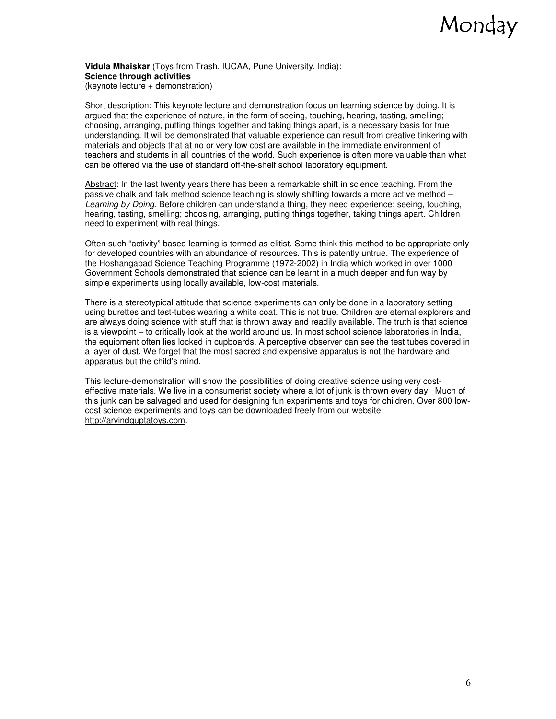### Monday

**Vidula Mhaiskar** (Toys from Trash, IUCAA, Pune University, India): **Science through activities** 

(keynote lecture + demonstration)

Short description: This keynote lecture and demonstration focus on learning science by doing. It is argued that the experience of nature, in the form of seeing, touching, hearing, tasting, smelling; choosing, arranging, putting things together and taking things apart, is a necessary basis for true understanding. It will be demonstrated that valuable experience can result from creative tinkering with materials and objects that at no or very low cost are available in the immediate environment of teachers and students in all countries of the world. Such experience is often more valuable than what can be offered via the use of standard off-the-shelf school laboratory equipment.

Abstract: In the last twenty years there has been a remarkable shift in science teaching. From the passive chalk and talk method science teaching is slowly shifting towards a more active method – Learning by Doing. Before children can understand a thing, they need experience: seeing, touching, hearing, tasting, smelling; choosing, arranging, putting things together, taking things apart. Children need to experiment with real things.

Often such "activity" based learning is termed as elitist. Some think this method to be appropriate only for developed countries with an abundance of resources. This is patently untrue. The experience of the Hoshangabad Science Teaching Programme (1972-2002) in India which worked in over 1000 Government Schools demonstrated that science can be learnt in a much deeper and fun way by simple experiments using locally available, low-cost materials.

There is a stereotypical attitude that science experiments can only be done in a laboratory setting using burettes and test-tubes wearing a white coat. This is not true. Children are eternal explorers and are always doing science with stuff that is thrown away and readily available. The truth is that science is a viewpoint – to critically look at the world around us. In most school science laboratories in India, the equipment often lies locked in cupboards. A perceptive observer can see the test tubes covered in a layer of dust. We forget that the most sacred and expensive apparatus is not the hardware and apparatus but the child's mind.

This lecture-demonstration will show the possibilities of doing creative science using very costeffective materials. We live in a consumerist society where a lot of junk is thrown every day. Much of this junk can be salvaged and used for designing fun experiments and toys for children. Over 800 lowcost science experiments and toys can be downloaded freely from our website http://arvindguptatoys.com.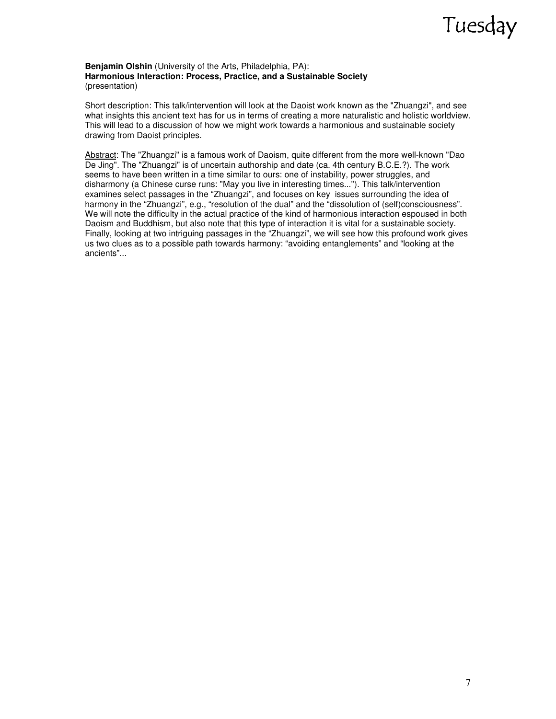#### **Benjamin Olshin** (University of the Arts, Philadelphia, PA): **Harmonious Interaction: Process, Practice, and a Sustainable Society**  (presentation)

Short description: This talk/intervention will look at the Daoist work known as the "Zhuangzi", and see what insights this ancient text has for us in terms of creating a more naturalistic and holistic worldview. This will lead to a discussion of how we might work towards a harmonious and sustainable society drawing from Daoist principles.

Abstract: The "Zhuangzi" is a famous work of Daoism, quite different from the more well-known "Dao De Jing". The "Zhuangzi" is of uncertain authorship and date (ca. 4th century B.C.E.?). The work seems to have been written in a time similar to ours: one of instability, power struggles, and disharmony (a Chinese curse runs: "May you live in interesting times..."). This talk/intervention examines select passages in the "Zhuangzi", and focuses on key issues surrounding the idea of harmony in the "Zhuangzi", e.g., "resolution of the dual" and the "dissolution of (self)consciousness". We will note the difficulty in the actual practice of the kind of harmonious interaction espoused in both Daoism and Buddhism, but also note that this type of interaction it is vital for a sustainable society. Finally, looking at two intriguing passages in the "Zhuangzi", we will see how this profound work gives us two clues as to a possible path towards harmony: "avoiding entanglements" and "looking at the ancients"...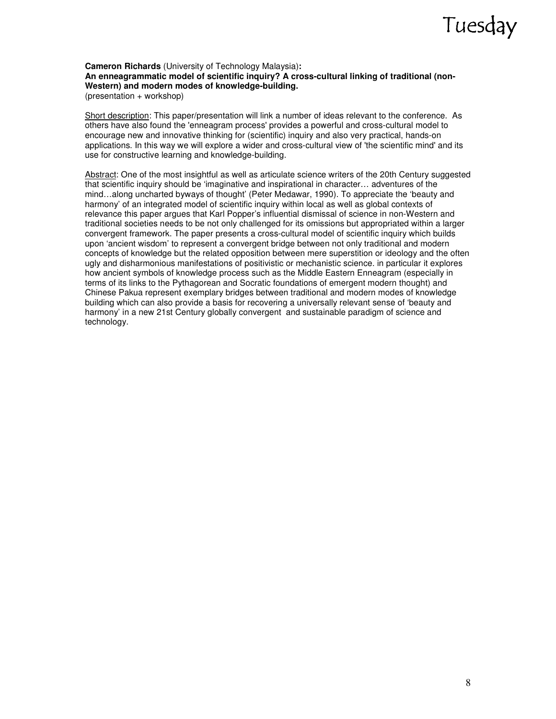**Cameron Richards** (University of Technology Malaysia)**: An enneagrammatic model of scientific inquiry? A cross-cultural linking of traditional (non-Western) and modern modes of knowledge-building.**  (presentation + workshop)

Short description: This paper/presentation will link a number of ideas relevant to the conference. As others have also found the 'enneagram process' provides a powerful and cross-cultural model to encourage new and innovative thinking for (scientific) inquiry and also very practical, hands-on applications. In this way we will explore a wider and cross-cultural view of 'the scientific mind' and its use for constructive learning and knowledge-building.

Abstract: One of the most insightful as well as articulate science writers of the 20th Century suggested that scientific inquiry should be 'imaginative and inspirational in character… adventures of the mind…along uncharted byways of thought' (Peter Medawar, 1990). To appreciate the 'beauty and harmony' of an integrated model of scientific inquiry within local as well as global contexts of relevance this paper argues that Karl Popper's influential dismissal of science in non-Western and traditional societies needs to be not only challenged for its omissions but appropriated within a larger convergent framework. The paper presents a cross-cultural model of scientific inquiry which builds upon 'ancient wisdom' to represent a convergent bridge between not only traditional and modern concepts of knowledge but the related opposition between mere superstition or ideology and the often ugly and disharmonious manifestations of positivistic or mechanistic science. in particular it explores how ancient symbols of knowledge process such as the Middle Eastern Enneagram (especially in terms of its links to the Pythagorean and Socratic foundations of emergent modern thought) and Chinese Pakua represent exemplary bridges between traditional and modern modes of knowledge building which can also provide a basis for recovering a universally relevant sense of 'beauty and harmony' in a new 21st Century globally convergent and sustainable paradigm of science and technology.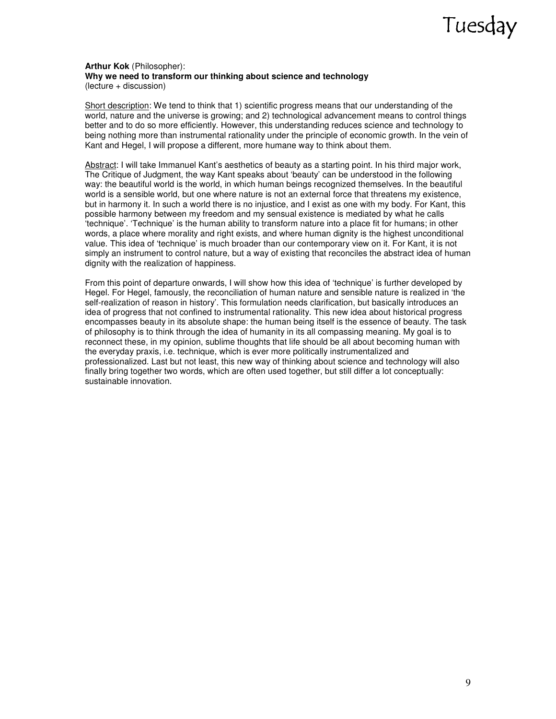#### **Arthur Kok** (Philosopher): **Why we need to transform our thinking about science and technology**  (lecture + discussion)

Short description: We tend to think that 1) scientific progress means that our understanding of the world, nature and the universe is growing; and 2) technological advancement means to control things better and to do so more efficiently. However, this understanding reduces science and technology to being nothing more than instrumental rationality under the principle of economic growth. In the vein of Kant and Hegel, I will propose a different, more humane way to think about them.

Abstract: I will take Immanuel Kant's aesthetics of beauty as a starting point. In his third major work, The Critique of Judgment, the way Kant speaks about 'beauty' can be understood in the following way: the beautiful world is the world, in which human beings recognized themselves. In the beautiful world is a sensible world, but one where nature is not an external force that threatens my existence, but in harmony it. In such a world there is no injustice, and I exist as one with my body. For Kant, this possible harmony between my freedom and my sensual existence is mediated by what he calls 'technique'. 'Technique' is the human ability to transform nature into a place fit for humans; in other words, a place where morality and right exists, and where human dignity is the highest unconditional value. This idea of 'technique' is much broader than our contemporary view on it. For Kant, it is not simply an instrument to control nature, but a way of existing that reconciles the abstract idea of human dignity with the realization of happiness.

From this point of departure onwards, I will show how this idea of 'technique' is further developed by Hegel. For Hegel, famously, the reconciliation of human nature and sensible nature is realized in 'the self-realization of reason in history'. This formulation needs clarification, but basically introduces an idea of progress that not confined to instrumental rationality. This new idea about historical progress encompasses beauty in its absolute shape: the human being itself is the essence of beauty. The task of philosophy is to think through the idea of humanity in its all compassing meaning. My goal is to reconnect these, in my opinion, sublime thoughts that life should be all about becoming human with the everyday praxis, i.e. technique, which is ever more politically instrumentalized and professionalized. Last but not least, this new way of thinking about science and technology will also finally bring together two words, which are often used together, but still differ a lot conceptually: sustainable innovation.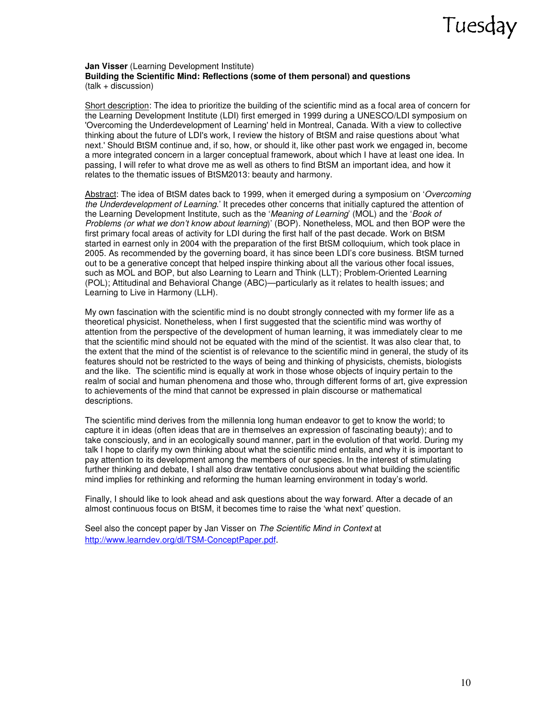#### **Jan Visser** (Learning Development Institute) **Building the Scientific Mind: Reflections (some of them personal) and questions**  (talk + discussion)

Short description: The idea to prioritize the building of the scientific mind as a focal area of concern for the Learning Development Institute (LDI) first emerged in 1999 during a UNESCO/LDI symposium on 'Overcoming the Underdevelopment of Learning' held in Montreal, Canada. With a view to collective thinking about the future of LDI's work, I review the history of BtSM and raise questions about 'what next.' Should BtSM continue and, if so, how, or should it, like other past work we engaged in, become a more integrated concern in a larger conceptual framework, about which I have at least one idea. In passing, I will refer to what drove me as well as others to find BtSM an important idea, and how it relates to the thematic issues of BtSM2013: beauty and harmony.

Abstract: The idea of BtSM dates back to 1999, when it emerged during a symposium on 'Overcoming the Underdevelopment of Learning.' It precedes other concerns that initially captured the attention of the Learning Development Institute, such as the 'Meaning of Learning' (MOL) and the 'Book of Problems (or what we don't know about learning)' (BOP). Nonetheless, MOL and then BOP were the first primary focal areas of activity for LDI during the first half of the past decade. Work on BtSM started in earnest only in 2004 with the preparation of the first BtSM colloquium, which took place in 2005. As recommended by the governing board, it has since been LDI's core business. BtSM turned out to be a generative concept that helped inspire thinking about all the various other focal issues, such as MOL and BOP, but also Learning to Learn and Think (LLT); Problem-Oriented Learning (POL); Attitudinal and Behavioral Change (ABC)—particularly as it relates to health issues; and Learning to Live in Harmony (LLH).

My own fascination with the scientific mind is no doubt strongly connected with my former life as a theoretical physicist. Nonetheless, when I first suggested that the scientific mind was worthy of attention from the perspective of the development of human learning, it was immediately clear to me that the scientific mind should not be equated with the mind of the scientist. It was also clear that, to the extent that the mind of the scientist is of relevance to the scientific mind in general, the study of its features should not be restricted to the ways of being and thinking of physicists, chemists, biologists and the like. The scientific mind is equally at work in those whose objects of inquiry pertain to the realm of social and human phenomena and those who, through different forms of art, give expression to achievements of the mind that cannot be expressed in plain discourse or mathematical descriptions.

The scientific mind derives from the millennia long human endeavor to get to know the world; to capture it in ideas (often ideas that are in themselves an expression of fascinating beauty); and to take consciously, and in an ecologically sound manner, part in the evolution of that world. During my talk I hope to clarify my own thinking about what the scientific mind entails, and why it is important to pay attention to its development among the members of our species. In the interest of stimulating further thinking and debate, I shall also draw tentative conclusions about what building the scientific mind implies for rethinking and reforming the human learning environment in today's world.

Finally, I should like to look ahead and ask questions about the way forward. After a decade of an almost continuous focus on BtSM, it becomes time to raise the 'what next' question.

Seel also the concept paper by Jan Visser on The Scientific Mind in Context at http://www.learndev.org/dl/TSM-ConceptPaper.pdf.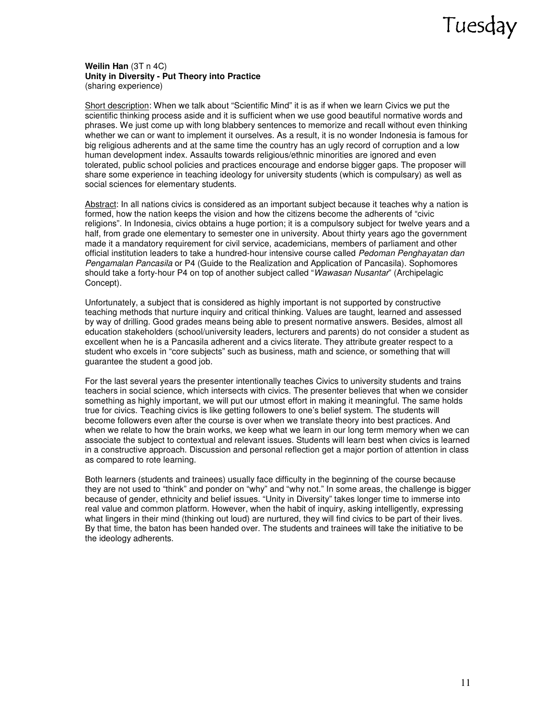#### **Weilin Han** (3T n 4C) **Unity in Diversity - Put Theory into Practice**  (sharing experience)

Short description: When we talk about "Scientific Mind" it is as if when we learn Civics we put the scientific thinking process aside and it is sufficient when we use good beautiful normative words and phrases. We just come up with long blabbery sentences to memorize and recall without even thinking whether we can or want to implement it ourselves. As a result, it is no wonder Indonesia is famous for big religious adherents and at the same time the country has an ugly record of corruption and a low human development index. Assaults towards religious/ethnic minorities are ignored and even tolerated, public school policies and practices encourage and endorse bigger gaps. The proposer will share some experience in teaching ideology for university students (which is compulsary) as well as social sciences for elementary students.

Abstract: In all nations civics is considered as an important subject because it teaches why a nation is formed, how the nation keeps the vision and how the citizens become the adherents of "civic religions". In Indonesia, civics obtains a huge portion; it is a compulsory subject for twelve years and a half, from grade one elementary to semester one in university. About thirty years ago the government made it a mandatory requirement for civil service, academicians, members of parliament and other official institution leaders to take a hundred-hour intensive course called Pedoman Penghayatan dan Pengamalan Pancasila or P4 (Guide to the Realization and Application of Pancasila). Sophomores should take a forty-hour P4 on top of another subject called "Wawasan Nusantar" (Archipelagic Concept).

Unfortunately, a subject that is considered as highly important is not supported by constructive teaching methods that nurture inquiry and critical thinking. Values are taught, learned and assessed by way of drilling. Good grades means being able to present normative answers. Besides, almost all education stakeholders (school/university leaders, lecturers and parents) do not consider a student as excellent when he is a Pancasila adherent and a civics literate. They attribute greater respect to a student who excels in "core subjects" such as business, math and science, or something that will guarantee the student a good job.

For the last several years the presenter intentionally teaches Civics to university students and trains teachers in social science, which intersects with civics. The presenter believes that when we consider something as highly important, we will put our utmost effort in making it meaningful. The same holds true for civics. Teaching civics is like getting followers to one's belief system. The students will become followers even after the course is over when we translate theory into best practices. And when we relate to how the brain works, we keep what we learn in our long term memory when we can associate the subject to contextual and relevant issues. Students will learn best when civics is learned in a constructive approach. Discussion and personal reflection get a major portion of attention in class as compared to rote learning.

Both learners (students and trainees) usually face difficulty in the beginning of the course because they are not used to "think" and ponder on "why" and "why not." In some areas, the challenge is bigger because of gender, ethnicity and belief issues. "Unity in Diversity" takes longer time to immerse into real value and common platform. However, when the habit of inquiry, asking intelligently, expressing what lingers in their mind (thinking out loud) are nurtured, they will find civics to be part of their lives. By that time, the baton has been handed over. The students and trainees will take the initiative to be the ideology adherents.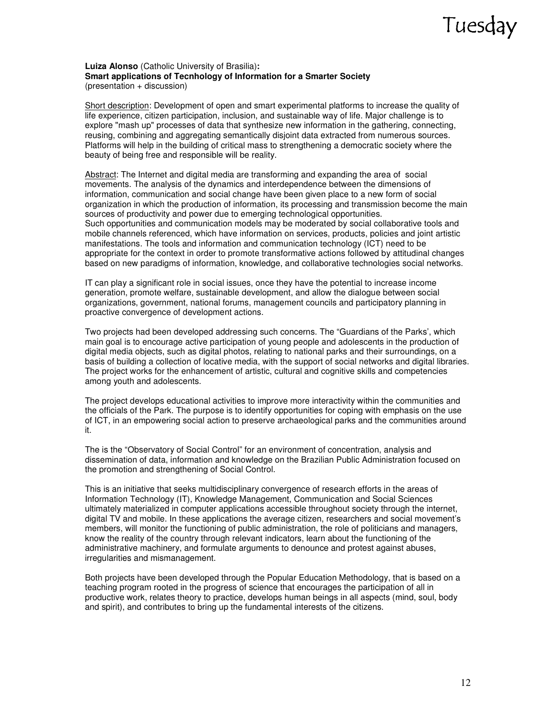#### **Luiza Alonso** (Catholic University of Brasilia)**: Smart applications of Tecnhology of Information for a Smarter Society**  (presentation + discussion)

Short description: Development of open and smart experimental platforms to increase the quality of life experience, citizen participation, inclusion, and sustainable way of life. Major challenge is to explore "mash up" processes of data that synthesize new information in the gathering, connecting, reusing, combining and aggregating semantically disjoint data extracted from numerous sources. Platforms will help in the building of critical mass to strengthening a democratic society where the beauty of being free and responsible will be reality.

Abstract: The Internet and digital media are transforming and expanding the area of social movements. The analysis of the dynamics and interdependence between the dimensions of information, communication and social change have been given place to a new form of social organization in which the production of information, its processing and transmission become the main sources of productivity and power due to emerging technological opportunities. Such opportunities and communication models may be moderated by social collaborative tools and mobile channels referenced, which have information on services, products, policies and joint artistic manifestations. The tools and information and communication technology (ICT) need to be appropriate for the context in order to promote transformative actions followed by attitudinal changes based on new paradigms of information, knowledge, and collaborative technologies social networks.

IT can play a significant role in social issues, once they have the potential to increase income generation, promote welfare, sustainable development, and allow the dialogue between social organizations, government, national forums, management councils and participatory planning in proactive convergence of development actions.

Two projects had been developed addressing such concerns. The "Guardians of the Parks', which main goal is to encourage active participation of young people and adolescents in the production of digital media objects, such as digital photos, relating to national parks and their surroundings, on a basis of building a collection of locative media, with the support of social networks and digital libraries. The project works for the enhancement of artistic, cultural and cognitive skills and competencies among youth and adolescents.

The project develops educational activities to improve more interactivity within the communities and the officials of the Park. The purpose is to identify opportunities for coping with emphasis on the use of ICT, in an empowering social action to preserve archaeological parks and the communities around it.

The is the "Observatory of Social Control" for an environment of concentration, analysis and dissemination of data, information and knowledge on the Brazilian Public Administration focused on the promotion and strengthening of Social Control.

This is an initiative that seeks multidisciplinary convergence of research efforts in the areas of Information Technology (IT), Knowledge Management, Communication and Social Sciences ultimately materialized in computer applications accessible throughout society through the internet, digital TV and mobile. In these applications the average citizen, researchers and social movement's members, will monitor the functioning of public administration, the role of politicians and managers, know the reality of the country through relevant indicators, learn about the functioning of the administrative machinery, and formulate arguments to denounce and protest against abuses, irregularities and mismanagement.

Both projects have been developed through the Popular Education Methodology, that is based on a teaching program rooted in the progress of science that encourages the participation of all in productive work, relates theory to practice, develops human beings in all aspects (mind, soul, body and spirit), and contributes to bring up the fundamental interests of the citizens.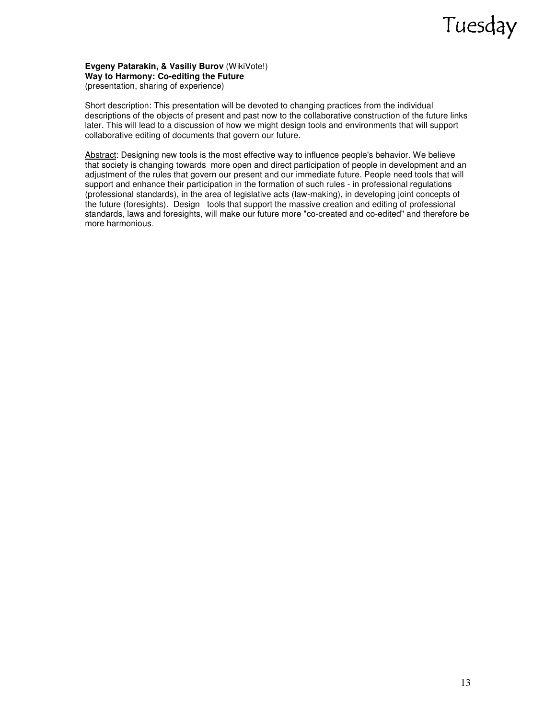**Evgeny Patarakin, & Vasiliy Burov** (WikiVote!) **Way to Harmony:** С**o-editing the Future**  (presentation, sharing of experience)

Short description: This presentation will be devoted to changing practices from the individual descriptions of the objects of present and past now to the collaborative construction of the future links later. This will lead to a discussion of how we might design tools and environments that will support collaborative editing of documents that govern our future.

Abstract: Designing new tools is the most effective way to influence people's behavior. We believe that society is changing towards more open and direct participation of people in development and an adjustment of the rules that govern our present and our immediate future. People need tools that will support and enhance their participation in the formation of such rules - in professional regulations (professional standards), in the area of legislative acts (law-making), in developing joint concepts of the future (foresights). Design tools that support the massive creation and editing of professional standards, laws and foresights, will make our future more "co-created and co-edited" and therefore be more harmonious.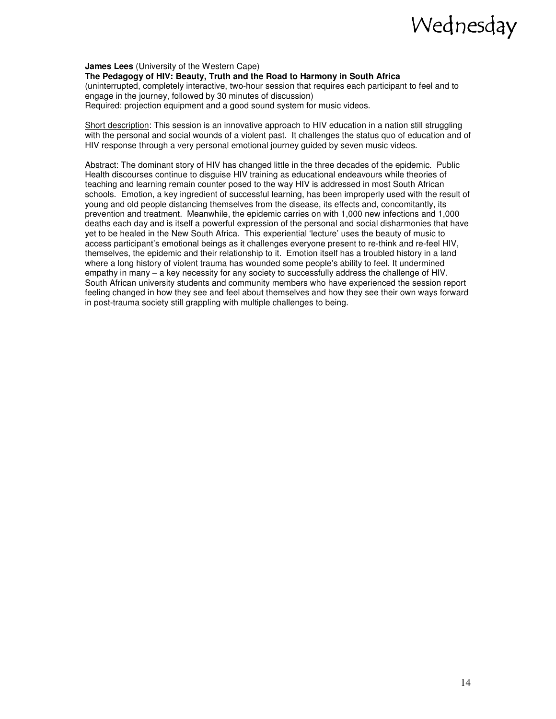**James Lees** (University of the Western Cape) **The Pedagogy of HIV: Beauty, Truth and the Road to Harmony in South Africa**  (uninterrupted, completely interactive, two-hour session that requires each participant to feel and to engage in the journey, followed by 30 minutes of discussion) Required: projection equipment and a good sound system for music videos.

Short description: This session is an innovative approach to HIV education in a nation still struggling with the personal and social wounds of a violent past. It challenges the status quo of education and of HIV response through a very personal emotional journey guided by seven music videos.

Abstract: The dominant story of HIV has changed little in the three decades of the epidemic. Public Health discourses continue to disguise HIV training as educational endeavours while theories of teaching and learning remain counter posed to the way HIV is addressed in most South African schools. Emotion, a key ingredient of successful learning, has been improperly used with the result of young and old people distancing themselves from the disease, its effects and, concomitantly, its prevention and treatment. Meanwhile, the epidemic carries on with 1,000 new infections and 1,000 deaths each day and is itself a powerful expression of the personal and social disharmonies that have yet to be healed in the New South Africa. This experiential 'lecture' uses the beauty of music to access participant's emotional beings as it challenges everyone present to re-think and re-feel HIV, themselves, the epidemic and their relationship to it. Emotion itself has a troubled history in a land where a long history of violent trauma has wounded some people's ability to feel. It undermined empathy in many – a key necessity for any society to successfully address the challenge of HIV. South African university students and community members who have experienced the session report feeling changed in how they see and feel about themselves and how they see their own ways forward in post-trauma society still grappling with multiple challenges to being.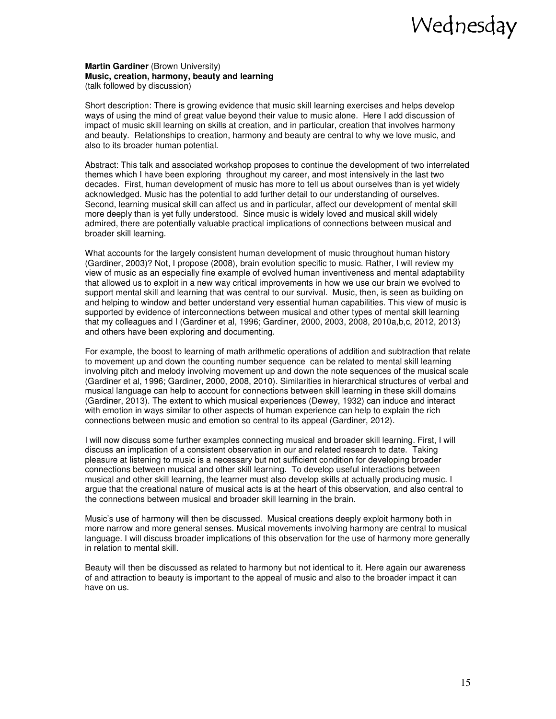**Martin Gardiner** (Brown University) **Music, creation, harmony, beauty and learning**  (talk followed by discussion)

Short description: There is growing evidence that music skill learning exercises and helps develop ways of using the mind of great value beyond their value to music alone. Here I add discussion of impact of music skill learning on skills at creation, and in particular, creation that involves harmony and beauty. Relationships to creation, harmony and beauty are central to why we love music, and also to its broader human potential.

Abstract: This talk and associated workshop proposes to continue the development of two interrelated themes which I have been exploring throughout my career, and most intensively in the last two decades. First, human development of music has more to tell us about ourselves than is yet widely acknowledged. Music has the potential to add further detail to our understanding of ourselves. Second, learning musical skill can affect us and in particular, affect our development of mental skill more deeply than is yet fully understood. Since music is widely loved and musical skill widely admired, there are potentially valuable practical implications of connections between musical and broader skill learning.

What accounts for the largely consistent human development of music throughout human history (Gardiner, 2003)? Not, I propose (2008), brain evolution specific to music. Rather, I will review my view of music as an especially fine example of evolved human inventiveness and mental adaptability that allowed us to exploit in a new way critical improvements in how we use our brain we evolved to support mental skill and learning that was central to our survival. Music, then, is seen as building on and helping to window and better understand very essential human capabilities. This view of music is supported by evidence of interconnections between musical and other types of mental skill learning that my colleagues and I (Gardiner et al, 1996; Gardiner, 2000, 2003, 2008, 2010a,b,c, 2012, 2013) and others have been exploring and documenting.

For example, the boost to learning of math arithmetic operations of addition and subtraction that relate to movement up and down the counting number sequence can be related to mental skill learning involving pitch and melody involving movement up and down the note sequences of the musical scale (Gardiner et al, 1996; Gardiner, 2000, 2008, 2010). Similarities in hierarchical structures of verbal and musical language can help to account for connections between skill learning in these skill domains (Gardiner, 2013). The extent to which musical experiences (Dewey, 1932) can induce and interact with emotion in ways similar to other aspects of human experience can help to explain the rich connections between music and emotion so central to its appeal (Gardiner, 2012).

I will now discuss some further examples connecting musical and broader skill learning. First, I will discuss an implication of a consistent observation in our and related research to date. Taking pleasure at listening to music is a necessary but not sufficient condition for developing broader connections between musical and other skill learning. To develop useful interactions between musical and other skill learning, the learner must also develop skills at actually producing music. I argue that the creational nature of musical acts is at the heart of this observation, and also central to the connections between musical and broader skill learning in the brain.

Music's use of harmony will then be discussed. Musical creations deeply exploit harmony both in more narrow and more general senses. Musical movements involving harmony are central to musical language. I will discuss broader implications of this observation for the use of harmony more generally in relation to mental skill.

Beauty will then be discussed as related to harmony but not identical to it. Here again our awareness of and attraction to beauty is important to the appeal of music and also to the broader impact it can have on us.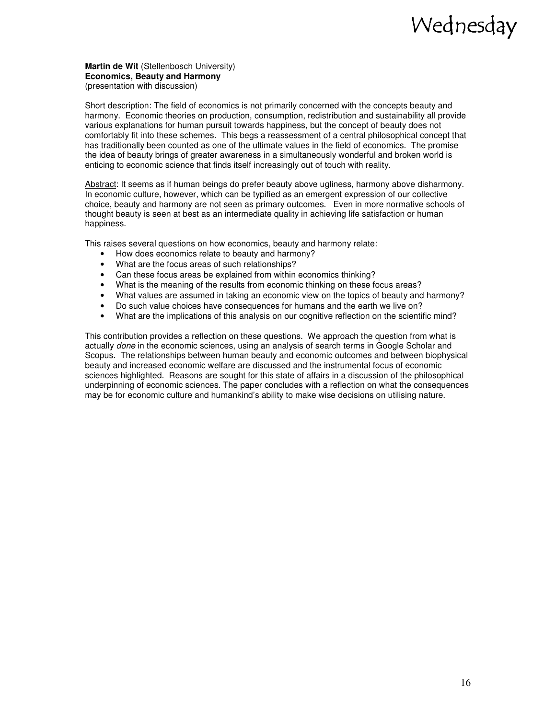**Martin de Wit** (Stellenbosch University) **Economics, Beauty and Harmony**  (presentation with discussion)

Short description: The field of economics is not primarily concerned with the concepts beauty and harmony. Economic theories on production, consumption, redistribution and sustainability all provide various explanations for human pursuit towards happiness, but the concept of beauty does not comfortably fit into these schemes. This begs a reassessment of a central philosophical concept that has traditionally been counted as one of the ultimate values in the field of economics. The promise the idea of beauty brings of greater awareness in a simultaneously wonderful and broken world is enticing to economic science that finds itself increasingly out of touch with reality.

Abstract: It seems as if human beings do prefer beauty above ugliness, harmony above disharmony. In economic culture, however, which can be typified as an emergent expression of our collective choice, beauty and harmony are not seen as primary outcomes. Even in more normative schools of thought beauty is seen at best as an intermediate quality in achieving life satisfaction or human happiness.

This raises several questions on how economics, beauty and harmony relate:

- How does economics relate to beauty and harmony?
- What are the focus areas of such relationships?
- Can these focus areas be explained from within economics thinking?
- What is the meaning of the results from economic thinking on these focus areas?
- What values are assumed in taking an economic view on the topics of beauty and harmony?
- Do such value choices have consequences for humans and the earth we live on?
- What are the implications of this analysis on our cognitive reflection on the scientific mind?

This contribution provides a reflection on these questions. We approach the question from what is actually *done* in the economic sciences, using an analysis of search terms in Google Scholar and Scopus. The relationships between human beauty and economic outcomes and between biophysical beauty and increased economic welfare are discussed and the instrumental focus of economic sciences highlighted. Reasons are sought for this state of affairs in a discussion of the philosophical underpinning of economic sciences. The paper concludes with a reflection on what the consequences may be for economic culture and humankind's ability to make wise decisions on utilising nature.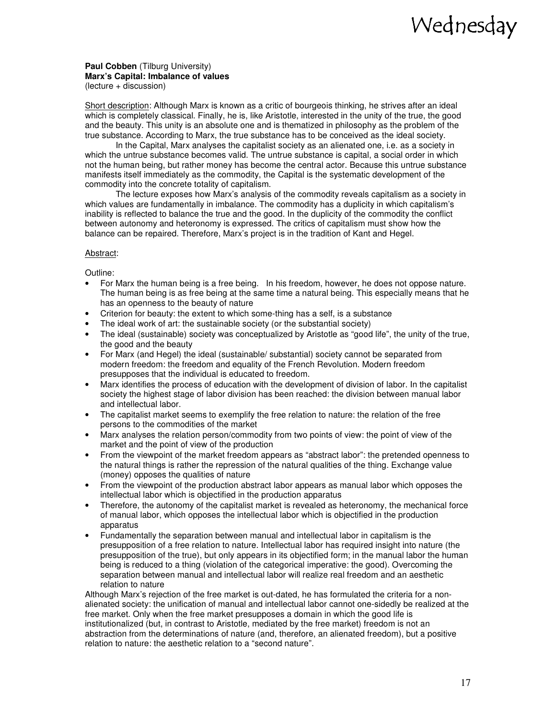**Paul Cobben** (Tilburg University) **Marx's Capital: Imbalance of values** 

(lecture + discussion)

Short description: Although Marx is known as a critic of bourgeois thinking, he strives after an ideal which is completely classical. Finally, he is, like Aristotle, interested in the unity of the true, the good and the beauty. This unity is an absolute one and is thematized in philosophy as the problem of the true substance. According to Marx, the true substance has to be conceived as the ideal society.

In the Capital, Marx analyses the capitalist society as an alienated one, i.e. as a society in which the untrue substance becomes valid. The untrue substance is capital, a social order in which not the human being, but rather money has become the central actor. Because this untrue substance manifests itself immediately as the commodity, the Capital is the systematic development of the commodity into the concrete totality of capitalism.

The lecture exposes how Marx's analysis of the commodity reveals capitalism as a society in which values are fundamentally in imbalance. The commodity has a duplicity in which capitalism's inability is reflected to balance the true and the good. In the duplicity of the commodity the conflict between autonomy and heteronomy is expressed. The critics of capitalism must show how the balance can be repaired. Therefore, Marx's project is in the tradition of Kant and Hegel.

#### Abstract:

Outline:

- For Marx the human being is a free being. In his freedom, however, he does not oppose nature. The human being is as free being at the same time a natural being. This especially means that he has an openness to the beauty of nature
- Criterion for beauty: the extent to which some-thing has a self, is a substance
- The ideal work of art: the sustainable society (or the substantial society)
- The ideal (sustainable) society was conceptualized by Aristotle as "good life", the unity of the true, the good and the beauty
- For Marx (and Hegel) the ideal (sustainable/ substantial) society cannot be separated from modern freedom: the freedom and equality of the French Revolution. Modern freedom presupposes that the individual is educated to freedom.
- Marx identifies the process of education with the development of division of labor. In the capitalist society the highest stage of labor division has been reached: the division between manual labor and intellectual labor.
- The capitalist market seems to exemplify the free relation to nature: the relation of the free persons to the commodities of the market
- Marx analyses the relation person/commodity from two points of view: the point of view of the market and the point of view of the production
- From the viewpoint of the market freedom appears as "abstract labor": the pretended openness to the natural things is rather the repression of the natural qualities of the thing. Exchange value (money) opposes the qualities of nature
- From the viewpoint of the production abstract labor appears as manual labor which opposes the intellectual labor which is objectified in the production apparatus
- Therefore, the autonomy of the capitalist market is revealed as heteronomy, the mechanical force of manual labor, which opposes the intellectual labor which is objectified in the production apparatus
- Fundamentally the separation between manual and intellectual labor in capitalism is the presupposition of a free relation to nature. Intellectual labor has required insight into nature (the presupposition of the true), but only appears in its objectified form; in the manual labor the human being is reduced to a thing (violation of the categorical imperative: the good). Overcoming the separation between manual and intellectual labor will realize real freedom and an aesthetic relation to nature

Although Marx's rejection of the free market is out-dated, he has formulated the criteria for a nonalienated society: the unification of manual and intellectual labor cannot one-sidedly be realized at the free market. Only when the free market presupposes a domain in which the good life is institutionalized (but, in contrast to Aristotle, mediated by the free market) freedom is not an abstraction from the determinations of nature (and, therefore, an alienated freedom), but a positive relation to nature: the aesthetic relation to a "second nature".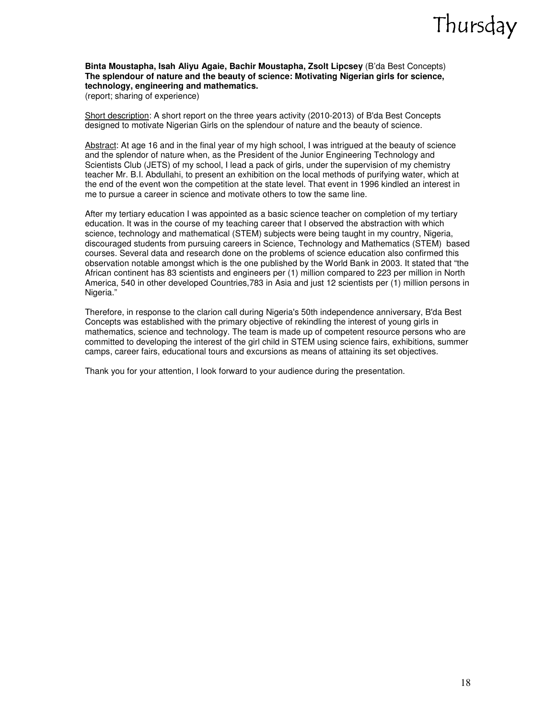#### **Binta Moustapha, Isah Aliyu Agaie, Bachir Moustapha, Zsolt Lipcsey** (B'da Best Concepts) **The splendour of nature and the beauty of science: Motivating Nigerian girls for science, technology, engineering and mathematics.**  (report; sharing of experience)

Short description: A short report on the three years activity (2010-2013) of B'da Best Concepts designed to motivate Nigerian Girls on the splendour of nature and the beauty of science.

Abstract: At age 16 and in the final year of my high school, I was intrigued at the beauty of science and the splendor of nature when, as the President of the Junior Engineering Technology and Scientists Club (JETS) of my school, I lead a pack of girls, under the supervision of my chemistry teacher Mr. B.I. Abdullahi, to present an exhibition on the local methods of purifying water, which at the end of the event won the competition at the state level. That event in 1996 kindled an interest in me to pursue a career in science and motivate others to tow the same line.

After my tertiary education I was appointed as a basic science teacher on completion of my tertiary education. It was in the course of my teaching career that I observed the abstraction with which science, technology and mathematical (STEM) subjects were being taught in my country, Nigeria, discouraged students from pursuing careers in Science, Technology and Mathematics (STEM) based courses. Several data and research done on the problems of science education also confirmed this observation notable amongst which is the one published by the World Bank in 2003. It stated that "the African continent has 83 scientists and engineers per (1) million compared to 223 per million in North America, 540 in other developed Countries,783 in Asia and just 12 scientists per (1) million persons in Nigeria."

Therefore, in response to the clarion call during Nigeria's 50th independence anniversary, B'da Best Concepts was established with the primary objective of rekindling the interest of young girls in mathematics, science and technology. The team is made up of competent resource persons who are committed to developing the interest of the girl child in STEM using science fairs, exhibitions, summer camps, career fairs, educational tours and excursions as means of attaining its set objectives.

Thank you for your attention, I look forward to your audience during the presentation.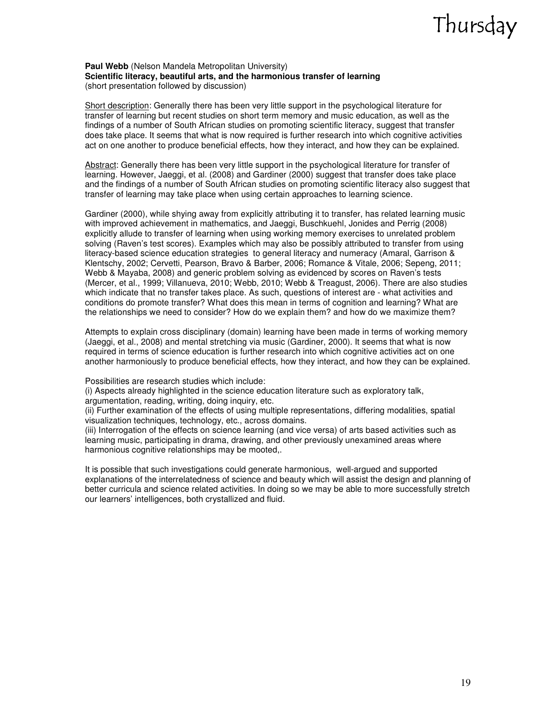#### Paul Webb (Nelson Mandela Metropolitan University) **Scientific literacy, beautiful arts, and the harmonious transfer of learning**  (short presentation followed by discussion)

Short description: Generally there has been very little support in the psychological literature for transfer of learning but recent studies on short term memory and music education, as well as the findings of a number of South African studies on promoting scientific literacy, suggest that transfer does take place. It seems that what is now required is further research into which cognitive activities act on one another to produce beneficial effects, how they interact, and how they can be explained.

Abstract: Generally there has been very little support in the psychological literature for transfer of learning. However, Jaeggi, et al. (2008) and Gardiner (2000) suggest that transfer does take place and the findings of a number of South African studies on promoting scientific literacy also suggest that transfer of learning may take place when using certain approaches to learning science.

Gardiner (2000), while shying away from explicitly attributing it to transfer, has related learning music with improved achievement in mathematics, and Jaeggi, Buschkuehl, Jonides and Perrig (2008) explicitly allude to transfer of learning when using working memory exercises to unrelated problem solving (Raven's test scores). Examples which may also be possibly attributed to transfer from using literacy-based science education strategies to general literacy and numeracy (Amaral, Garrison & Klentschy, 2002; Cervetti, Pearson, Bravo & Barber, 2006; Romance & Vitale, 2006; Sepeng, 2011; Webb & Mayaba, 2008) and generic problem solving as evidenced by scores on Raven's tests (Mercer, et al., 1999; Villanueva, 2010; Webb, 2010; Webb & Treagust, 2006). There are also studies which indicate that no transfer takes place. As such, questions of interest are - what activities and conditions do promote transfer? What does this mean in terms of cognition and learning? What are the relationships we need to consider? How do we explain them? and how do we maximize them?

Attempts to explain cross disciplinary (domain) learning have been made in terms of working memory (Jaeggi, et al., 2008) and mental stretching via music (Gardiner, 2000). It seems that what is now required in terms of science education is further research into which cognitive activities act on one another harmoniously to produce beneficial effects, how they interact, and how they can be explained.

Possibilities are research studies which include:

(i) Aspects already highlighted in the science education literature such as exploratory talk, argumentation, reading, writing, doing inquiry, etc.

(ii) Further examination of the effects of using multiple representations, differing modalities, spatial visualization techniques, technology, etc., across domains.

(iii) Interrogation of the effects on science learning (and vice versa) of arts based activities such as learning music, participating in drama, drawing, and other previously unexamined areas where harmonious cognitive relationships may be mooted,.

It is possible that such investigations could generate harmonious, well-argued and supported explanations of the interrelatedness of science and beauty which will assist the design and planning of better curricula and science related activities. In doing so we may be able to more successfully stretch our learners' intelligences, both crystallized and fluid.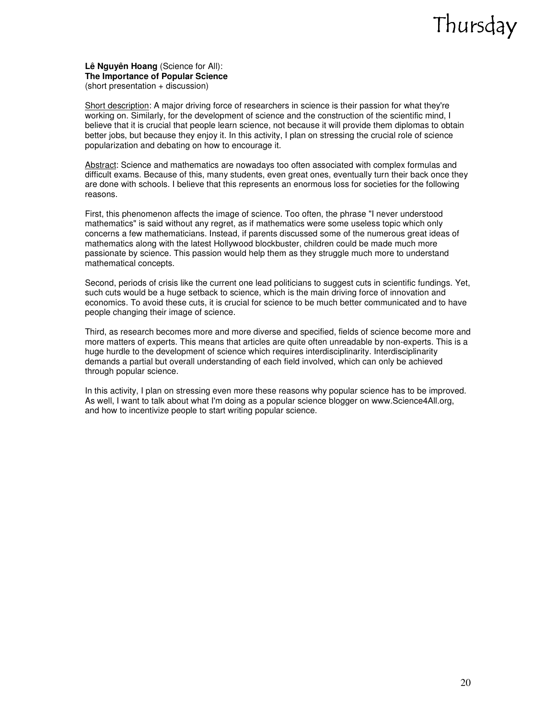**Lê Nguyên Hoang** (Science for All): **The Importance of Popular Science**  (short presentation + discussion)

Short description: A major driving force of researchers in science is their passion for what they're working on. Similarly, for the development of science and the construction of the scientific mind, I believe that it is crucial that people learn science, not because it will provide them diplomas to obtain better jobs, but because they enjoy it. In this activity, I plan on stressing the crucial role of science popularization and debating on how to encourage it.

Abstract: Science and mathematics are nowadays too often associated with complex formulas and difficult exams. Because of this, many students, even great ones, eventually turn their back once they are done with schools. I believe that this represents an enormous loss for societies for the following reasons.

First, this phenomenon affects the image of science. Too often, the phrase "I never understood mathematics" is said without any regret, as if mathematics were some useless topic which only concerns a few mathematicians. Instead, if parents discussed some of the numerous great ideas of mathematics along with the latest Hollywood blockbuster, children could be made much more passionate by science. This passion would help them as they struggle much more to understand mathematical concepts.

Second, periods of crisis like the current one lead politicians to suggest cuts in scientific fundings. Yet, such cuts would be a huge setback to science, which is the main driving force of innovation and economics. To avoid these cuts, it is crucial for science to be much better communicated and to have people changing their image of science.

Third, as research becomes more and more diverse and specified, fields of science become more and more matters of experts. This means that articles are quite often unreadable by non-experts. This is a huge hurdle to the development of science which requires interdisciplinarity. Interdisciplinarity demands a partial but overall understanding of each field involved, which can only be achieved through popular science.

In this activity, I plan on stressing even more these reasons why popular science has to be improved. As well, I want to talk about what I'm doing as a popular science blogger on www.Science4All.org, and how to incentivize people to start writing popular science.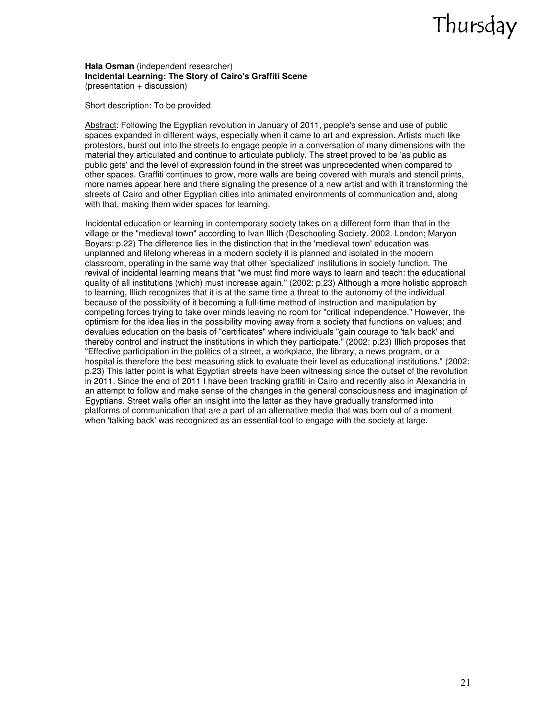**Hala Osman** (independent researcher) **Incidental Learning: The Story of Cairo's Graffiti Scene**  (presentation + discussion)

#### Short description: To be provided

Abstract: Following the Egyptian revolution in January of 2011, people's sense and use of public spaces expanded in different ways, especially when it came to art and expression. Artists much like protestors, burst out into the streets to engage people in a conversation of many dimensions with the material they articulated and continue to articulate publicly. The street proved to be 'as public as public gets' and the level of expression found in the street was unprecedented when compared to other spaces. Graffiti continues to grow, more walls are being covered with murals and stencil prints, more names appear here and there signaling the presence of a new artist and with it transforming the streets of Cairo and other Egyptian cities into animated environments of communication and, along with that, making them wider spaces for learning.

Incidental education or learning in contemporary society takes on a different form than that in the village or the "medieval town" according to Ivan Illich (Deschooling Society. 2002. London; Maryon Boyars: p.22) The difference lies in the distinction that in the 'medieval town' education was unplanned and lifelong whereas in a modern society it is planned and isolated in the modern classroom, operating in the same way that other 'specialized' institutions in society function. The revival of incidental learning means that "we must find more ways to learn and teach: the educational quality of all institutions (which) must increase again." (2002: p.23) Although a more holistic approach to learning, Illich recognizes that it is at the same time a threat to the autonomy of the individual because of the possibility of it becoming a full-time method of instruction and manipulation by competing forces trying to take over minds leaving no room for "critical independence." However, the optimism for the idea lies in the possibility moving away from a society that functions on values; and devalues education on the basis of "certificates" where individuals "gain courage to 'talk back' and thereby control and instruct the institutions in which they participate." (2002: p.23) Illich proposes that "Effective participation in the politics of a street, a workplace, the library, a news program, or a hospital is therefore the best measuring stick to evaluate their level as educational institutions." (2002: p.23) This latter point is what Egyptian streets have been witnessing since the outset of the revolution in 2011. Since the end of 2011 I have been tracking graffiti in Cairo and recently also in Alexandria in an attempt to follow and make sense of the changes in the general consciousness and imagination of Egyptians. Street walls offer an insight into the latter as they have gradually transformed into platforms of communication that are a part of an alternative media that was born out of a moment when 'talking back' was recognized as an essential tool to engage with the society at large.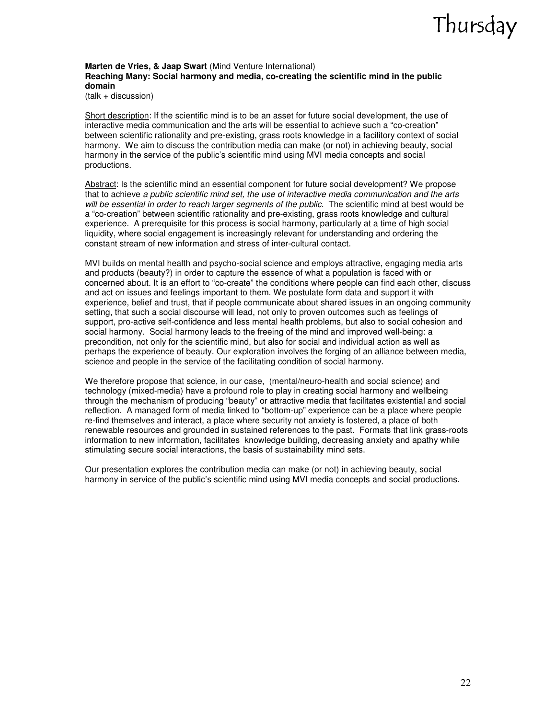#### **Marten de Vries, & Jaap Swart** (Mind Venture International) **Reaching Many: Social harmony and media, co-creating the scientific mind in the public domain**

(talk + discussion)

Short description: If the scientific mind is to be an asset for future social development, the use of interactive media communication and the arts will be essential to achieve such a "co-creation" between scientific rationality and pre-existing, grass roots knowledge in a facilitory context of social harmony. We aim to discuss the contribution media can make (or not) in achieving beauty, social harmony in the service of the public's scientific mind using MVI media concepts and social productions.

Abstract: Is the scientific mind an essential component for future social development? We propose that to achieve a public scientific mind set, the use of interactive media communication and the arts will be essential in order to reach larger segments of the public. The scientific mind at best would be a "co-creation" between scientific rationality and pre-existing, grass roots knowledge and cultural experience. A prerequisite for this process is social harmony, particularly at a time of high social liquidity, where social engagement is increasingly relevant for understanding and ordering the constant stream of new information and stress of inter-cultural contact.

MVI builds on mental health and psycho-social science and employs attractive, engaging media arts and products (beauty?) in order to capture the essence of what a population is faced with or concerned about. It is an effort to "co-create" the conditions where people can find each other, discuss and act on issues and feelings important to them. We postulate form data and support it with experience, belief and trust, that if people communicate about shared issues in an ongoing community setting, that such a social discourse will lead, not only to proven outcomes such as feelings of support, pro-active self-confidence and less mental health problems, but also to social cohesion and social harmony. Social harmony leads to the freeing of the mind and improved well-being: a precondition, not only for the scientific mind, but also for social and individual action as well as perhaps the experience of beauty. Our exploration involves the forging of an alliance between media, science and people in the service of the facilitating condition of social harmony.

We therefore propose that science, in our case, (mental/neuro-health and social science) and technology (mixed-media) have a profound role to play in creating social harmony and wellbeing through the mechanism of producing "beauty" or attractive media that facilitates existential and social reflection. A managed form of media linked to "bottom-up" experience can be a place where people re-find themselves and interact, a place where security not anxiety is fostered, a place of both renewable resources and grounded in sustained references to the past. Formats that link grass-roots information to new information, facilitates knowledge building, decreasing anxiety and apathy while stimulating secure social interactions, the basis of sustainability mind sets.

Our presentation explores the contribution media can make (or not) in achieving beauty, social harmony in service of the public's scientific mind using MVI media concepts and social productions.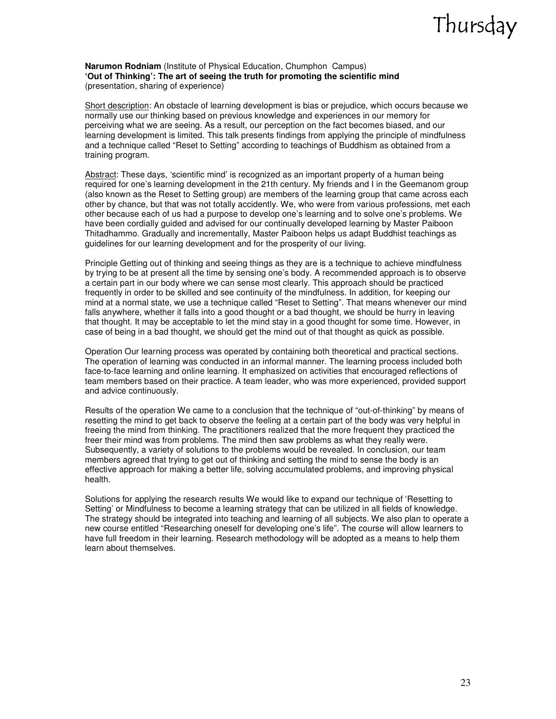#### **Narumon Rodniam** (Institute of Physical Education, Chumphon Campus) **'Out of Thinking': The art of seeing the truth for promoting the scientific mind**  (presentation, sharing of experience)

Short description: An obstacle of learning development is bias or prejudice, which occurs because we normally use our thinking based on previous knowledge and experiences in our memory for perceiving what we are seeing. As a result, our perception on the fact becomes biased, and our learning development is limited. This talk presents findings from applying the principle of mindfulness and a technique called "Reset to Setting" according to teachings of Buddhism as obtained from a training program.

Abstract: These days, 'scientific mind' is recognized as an important property of a human being required for one's learning development in the 21th century. My friends and I in the Geemanom group (also known as the Reset to Setting group) are members of the learning group that came across each other by chance, but that was not totally accidently. We, who were from various professions, met each other because each of us had a purpose to develop one's learning and to solve one's problems. We have been cordially guided and advised for our continually developed learning by Master Paiboon Thitadhammo. Gradually and incrementally, Master Paiboon helps us adapt Buddhist teachings as guidelines for our learning development and for the prosperity of our living.

Principle Getting out of thinking and seeing things as they are is a technique to achieve mindfulness by trying to be at present all the time by sensing one's body. A recommended approach is to observe a certain part in our body where we can sense most clearly. This approach should be practiced frequently in order to be skilled and see continuity of the mindfulness. In addition, for keeping our mind at a normal state, we use a technique called "Reset to Setting". That means whenever our mind falls anywhere, whether it falls into a good thought or a bad thought, we should be hurry in leaving that thought. It may be acceptable to let the mind stay in a good thought for some time. However, in case of being in a bad thought, we should get the mind out of that thought as quick as possible.

Operation Our learning process was operated by containing both theoretical and practical sections. The operation of learning was conducted in an informal manner. The learning process included both face-to-face learning and online learning. It emphasized on activities that encouraged reflections of team members based on their practice. A team leader, who was more experienced, provided support and advice continuously.

Results of the operation We came to a conclusion that the technique of "out-of-thinking" by means of resetting the mind to get back to observe the feeling at a certain part of the body was very helpful in freeing the mind from thinking. The practitioners realized that the more frequent they practiced the freer their mind was from problems. The mind then saw problems as what they really were. Subsequently, a variety of solutions to the problems would be revealed. In conclusion, our team members agreed that trying to get out of thinking and setting the mind to sense the body is an effective approach for making a better life, solving accumulated problems, and improving physical health.

Solutions for applying the research results We would like to expand our technique of 'Resetting to Setting' or Mindfulness to become a learning strategy that can be utilized in all fields of knowledge. The strategy should be integrated into teaching and learning of all subjects. We also plan to operate a new course entitled "Researching oneself for developing one's life". The course will allow learners to have full freedom in their learning. Research methodology will be adopted as a means to help them learn about themselves.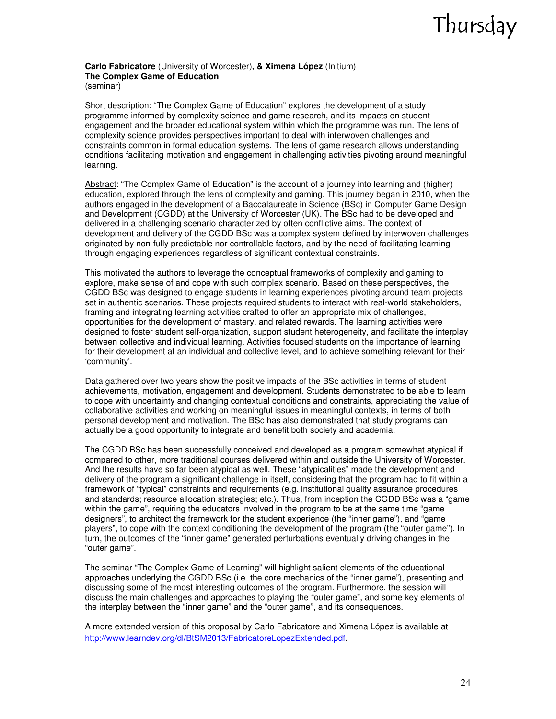#### **Carlo Fabricatore** (University of Worcester)**, & Ximena López** (Initium) **The Complex Game of Education**  (seminar)

Short description: "The Complex Game of Education" explores the development of a study programme informed by complexity science and game research, and its impacts on student engagement and the broader educational system within which the programme was run. The lens of complexity science provides perspectives important to deal with interwoven challenges and constraints common in formal education systems. The lens of game research allows understanding conditions facilitating motivation and engagement in challenging activities pivoting around meaningful learning.

Abstract: "The Complex Game of Education" is the account of a journey into learning and (higher) education, explored through the lens of complexity and gaming. This journey began in 2010, when the authors engaged in the development of a Baccalaureate in Science (BSc) in Computer Game Design and Development (CGDD) at the University of Worcester (UK). The BSc had to be developed and delivered in a challenging scenario characterized by often conflictive aims. The context of development and delivery of the CGDD BSc was a complex system defined by interwoven challenges originated by non-fully predictable nor controllable factors, and by the need of facilitating learning through engaging experiences regardless of significant contextual constraints.

This motivated the authors to leverage the conceptual frameworks of complexity and gaming to explore, make sense of and cope with such complex scenario. Based on these perspectives, the CGDD BSc was designed to engage students in learning experiences pivoting around team projects set in authentic scenarios. These projects required students to interact with real-world stakeholders, framing and integrating learning activities crafted to offer an appropriate mix of challenges, opportunities for the development of mastery, and related rewards. The learning activities were designed to foster student self-organization, support student heterogeneity, and facilitate the interplay between collective and individual learning. Activities focused students on the importance of learning for their development at an individual and collective level, and to achieve something relevant for their 'community'.

Data gathered over two years show the positive impacts of the BSc activities in terms of student achievements, motivation, engagement and development. Students demonstrated to be able to learn to cope with uncertainty and changing contextual conditions and constraints, appreciating the value of collaborative activities and working on meaningful issues in meaningful contexts, in terms of both personal development and motivation. The BSc has also demonstrated that study programs can actually be a good opportunity to integrate and benefit both society and academia.

The CGDD BSc has been successfully conceived and developed as a program somewhat atypical if compared to other, more traditional courses delivered within and outside the University of Worcester. And the results have so far been atypical as well. These "atypicalities" made the development and delivery of the program a significant challenge in itself, considering that the program had to fit within a framework of "typical" constraints and requirements (e.g. institutional quality assurance procedures and standards; resource allocation strategies; etc.). Thus, from inception the CGDD BSc was a "game within the game", requiring the educators involved in the program to be at the same time "game designers", to architect the framework for the student experience (the "inner game"), and "game players", to cope with the context conditioning the development of the program (the "outer game"). In turn, the outcomes of the "inner game" generated perturbations eventually driving changes in the "outer game".

The seminar "The Complex Game of Learning" will highlight salient elements of the educational approaches underlying the CGDD BSc (i.e. the core mechanics of the "inner game"), presenting and discussing some of the most interesting outcomes of the program. Furthermore, the session will discuss the main challenges and approaches to playing the "outer game", and some key elements of the interplay between the "inner game" and the "outer game", and its consequences.

A more extended version of this proposal by Carlo Fabricatore and Ximena López is available at http://www.learndev.org/dl/BtSM2013/FabricatoreLopezExtended.pdf.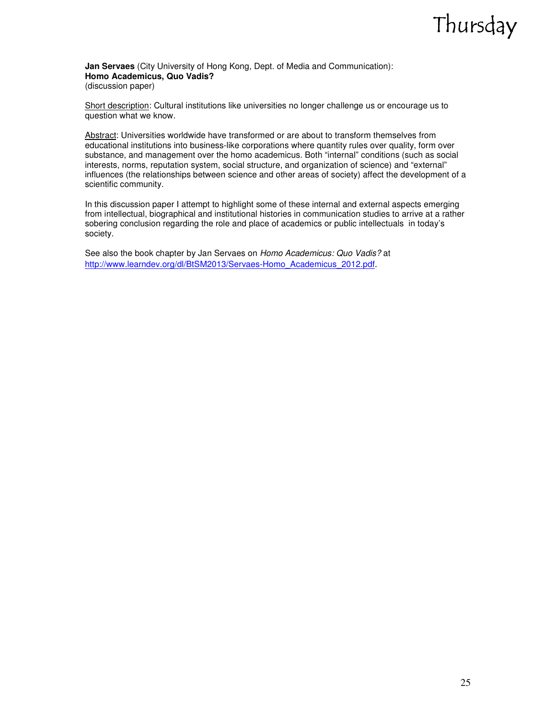**Jan Servaes** (City University of Hong Kong, Dept. of Media and Communication): **Homo Academicus, Quo Vadis?**  (discussion paper)

Short description: Cultural institutions like universities no longer challenge us or encourage us to question what we know.

Abstract: Universities worldwide have transformed or are about to transform themselves from educational institutions into business-like corporations where quantity rules over quality, form over substance, and management over the homo academicus. Both "internal" conditions (such as social interests, norms, reputation system, social structure, and organization of science) and "external" influences (the relationships between science and other areas of society) affect the development of a scientific community.

In this discussion paper I attempt to highlight some of these internal and external aspects emerging from intellectual, biographical and institutional histories in communication studies to arrive at a rather sobering conclusion regarding the role and place of academics or public intellectuals in today's society.

See also the book chapter by Jan Servaes on Homo Academicus: Quo Vadis? at http://www.learndev.org/dl/BtSM2013/Servaes-Homo\_Academicus\_2012.pdf.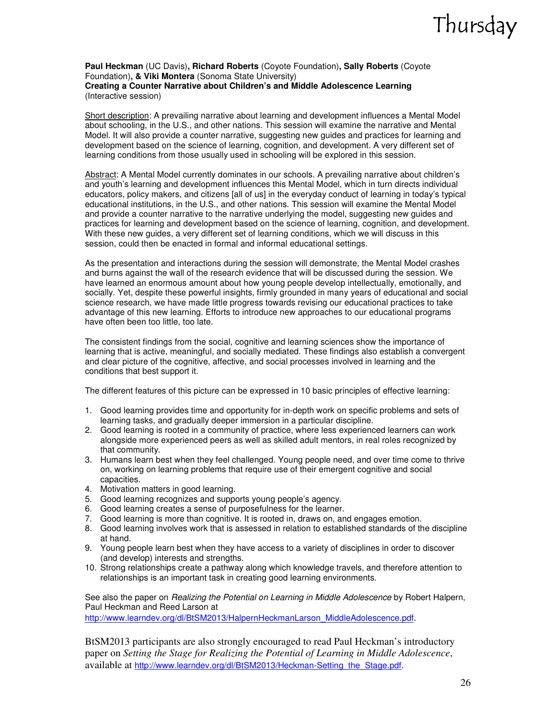#### **Paul Heckman** (UC Davis)**, Richard Roberts** (Coyote Foundation)**, Sally Roberts** (Coyote Foundation)**, & Viki Montera** (Sonoma State University) **Creating a Counter Narrative about Children's and Middle Adolescence Learning**  (Interactive session)

Short description: A prevailing narrative about learning and development influences a Mental Model about schooling, in the U.S., and other nations. This session will examine the narrative and Mental Model. It will also provide a counter narrative, suggesting new guides and practices for learning and development based on the science of learning, cognition, and development. A very different set of learning conditions from those usually used in schooling will be explored in this session.

Abstract: A Mental Model currently dominates in our schools. A prevailing narrative about children's and youth's learning and development influences this Mental Model, which in turn directs individual educators, policy makers, and citizens [all of us] in the everyday conduct of learning in today's typical educational institutions, in the U.S., and other nations. This session will examine the Mental Model and provide a counter narrative to the narrative underlying the model, suggesting new guides and practices for learning and development based on the science of learning, cognition, and development. With these new guides, a very different set of learning conditions, which we will discuss in this session, could then be enacted in formal and informal educational settings.

As the presentation and interactions during the session will demonstrate, the Mental Model crashes and burns against the wall of the research evidence that will be discussed during the session. We have learned an enormous amount about how young people develop intellectually, emotionally, and socially. Yet, despite these powerful insights, firmly grounded in many years of educational and social science research, we have made little progress towards revising our educational practices to take advantage of this new learning. Efforts to introduce new approaches to our educational programs have often been too little, too late.

The consistent findings from the social, cognitive and learning sciences show the importance of learning that is active, meaningful, and socially mediated. These findings also establish a convergent and clear picture of the cognitive, affective, and social processes involved in learning and the conditions that best support it.

The different features of this picture can be expressed in 10 basic principles of effective learning:

- 1. Good learning provides time and opportunity for in-depth work on specific problems and sets of learning tasks, and gradually deeper immersion in a particular discipline.
- 2. Good learning is rooted in a community of practice, where less experienced learners can work alongside more experienced peers as well as skilled adult mentors, in real roles recognized by that community.
- 3. Humans learn best when they feel challenged. Young people need, and over time come to thrive on, working on learning problems that require use of their emergent cognitive and social capacities.
- 4. Motivation matters in good learning.
- 5. Good learning recognizes and supports young people's agency.
- 6. Good learning creates a sense of purposefulness for the learner.
- 7. Good learning is more than cognitive. It is rooted in, draws on, and engages emotion.
- 8. Good learning involves work that is assessed in relation to established standards of the discipline at hand.
- 9. Young people learn best when they have access to a variety of disciplines in order to discover (and develop) interests and strengths.
- 10. Strong relationships create a pathway along which knowledge travels, and therefore attention to relationships is an important task in creating good learning environments.

See also the paper on *Realizing the Potential on Learning in Middle Adolescence* by Robert Halpern, Paul Heckman and Reed Larson at

http://www.learndev.org/dl/BtSM2013/HalpernHeckmanLarson\_MiddleAdolescence.pdf.

BtSM2013 participants are also strongly encouraged to read Paul Heckman's introductory paper on *Setting the Stage for Realizing the Potential of Learning in Middle Adolescence*, available at http://www.learndev.org/dl/BtSM2013/Heckman-Setting\_the\_Stage.pdf.